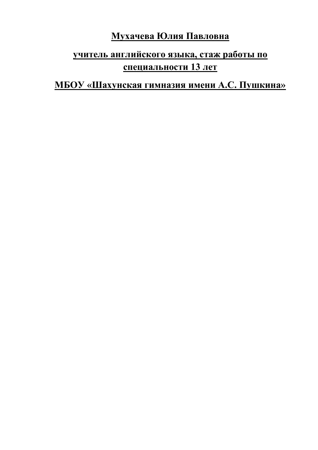# **Мухачева Юлия Павловна**

## **учитель английского языка, стаж работы по специальности 13 лет**

## **МБОУ «Шахунская гимназия имени А.С. Пушкина»**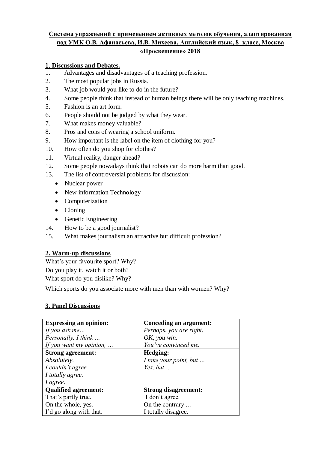#### **Система упражнений с применением активных методов обучения, адаптированная под УМК О.В. Афанасьева, И.В. Михеева, Английский язык, 8 класс, Москва «Просвещение» 2018**

#### **Discussions and Debates.**

1. Advantages and disadvantages of a teaching profession.

- 2. The most popular jobs in Russia.
- 3. What job would you like to do in the future?
- 4. Some people think that instead of human beings there will be only teaching machines.
- 5. Fashion is an art form.
- 6. People should not be judged by what they wear.
- 7. What makes money valuable?
- 8. Pros and cons of wearing a school uniform.
- 9. How important is the label on the item of clothing for you?
- 10. How often do you shop for clothes?
- 11. Virtual reality, danger ahead?
- 12. Some people nowadays think that robots can do more harm than good.
- 13. The list of controversial problems for discussion:
	- Nuclear power
	- New information Technology
	- Computerization
	- Cloning
	- Genetic Engineering
- 14. How to be a good journalist?
- 15. What makes journalism an attractive but difficult profession?

#### **2. Warm-up discussions**

What's your favourite sport? Why?

Do you play it, watch it or both?

What sport do you dislike? Why?

Which sports do you associate more with men than with women? Why?

#### **3. Panel Discussions**

| <b>Expressing an opinion:</b> | Conceding an argument:      |  |
|-------------------------------|-----------------------------|--|
| If you ask me                 | Perhaps, you are right.     |  |
| Personally, I think           | OK, you win.                |  |
| If you want my opinion,       | You've convinced me.        |  |
| <b>Strong agreement:</b>      | Hedging:                    |  |
| Absolutely.                   | I take your point, but      |  |
| I couldn't agree.             | Yes, but $\ldots$           |  |
| I totally agree.              |                             |  |
| I agree.                      |                             |  |
| <b>Qualified agreement:</b>   | <b>Strong disagreement:</b> |  |
| That's partly true.           | I don't agree.              |  |
| On the whole, yes.            | On the contrary             |  |
| I'd go along with that.       | I totally disagree.         |  |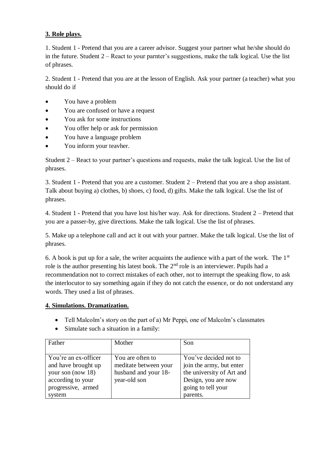#### **3. Role plays.**

1. Student 1 - Pretend that you are a career advisor. Suggest your partner what he/she should do in the future. Student 2 – React to your parnter's suggestions, make the talk logical. Use the list of phrases.

2. Student 1 - Pretend that you are at the lesson of English. Ask your partner (a teacher) what you should do if

- You have a problem
- You are confused or have a request
- You ask for some instructions
- You offer help or ask for permission
- You have a language problem
- You inform your teavher.

Student 2 – React to your partner's questions and requests, make the talk logical. Use the list of phrases.

3. Student 1 - Pretend that you are a customer. Student 2 – Pretend that you are a shop assistant. Talk about buying a) clothes, b) shoes, c) food, d) gifts. Make the talk logical. Use the list of phrases.

4. Student 1 - Pretend that you have lost his/her way. Ask for directions. Student 2 – Pretend that you are a passer-by, give directions. Make the talk logical. Use the list of phrases.

5. Make up a telephone call and act it out with your partner. Make the talk logical. Use the list of phrases.

6. A book is put up for a sale, the writer acquaints the audience with a part of the work. The  $1<sup>st</sup>$ role is the author presenting his latest book. The 2nd role is an interviewer. Pupils had a recommendation not to correct mistakes of each other, not to interrupt the speaking flow, to ask the interlocutor to say something again if they do not catch the essence, or do not understand any words. They used a list of phrases.

#### **4. Simulations. Dramatization.**

- Tell Malcolm's story on the part of a) Mr Peppi, one of Malcolm's classmates
- Simulate such a situation in a family:

| Father                                                                                                                | Mother                                                                            | Son                                                                                                                                     |
|-----------------------------------------------------------------------------------------------------------------------|-----------------------------------------------------------------------------------|-----------------------------------------------------------------------------------------------------------------------------------------|
| You're an ex-officer<br>and have brought up<br>your son (now 18)<br>according to your<br>progressive, armed<br>system | You are often to<br>meditate between your<br>husband and your 18-<br>year-old son | You've decided not to<br>join the army, but enter<br>the university of Art and<br>Design, you are now<br>going to tell your<br>parents. |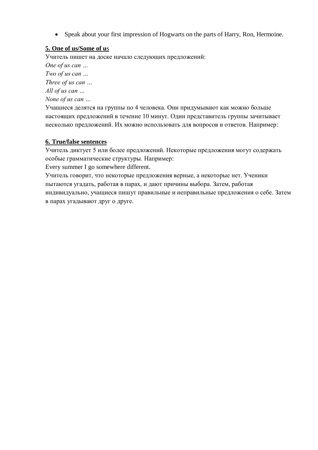Speak about your first impression of Hogwarts on the parts of Harry, Ron, Hermoine.

#### **5. One of us/Some of u**s

Учитель пишет на доске начало следующих предложений:

*One of us can …* 

*Two of us can …* 

*Three of us can …* 

*All of us can …* 

*None of us can …* 

Учащиеся делятся на группы по 4 человека. Они придумывают как можно больше настоящих предложений в течение 10 минут. Один представитель группы зачитывает несколько предложений. Их можно использовать для вопросов и ответов. Например:

#### **6. True/false sentences**

Учитель диктует 5 или более предложений. Некоторые предложения могут содержать особые грамматические структуры. Например:

Every summer I go somewhere different.

Учитель говорит, что некоторые предложения верные, а некоторые нет. Ученики пытаются угадать, работая в парах, и дают причины выбора. Затем, работая индивидуально, учащиеся пишут правильные и неправильные предложения о себе. Затем в парах угадывают друг о друге.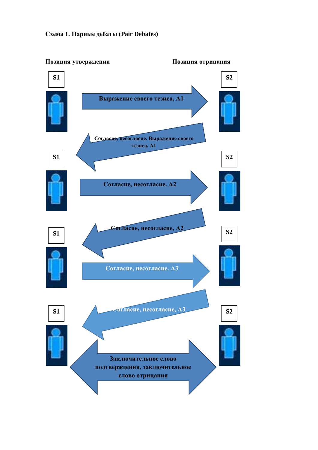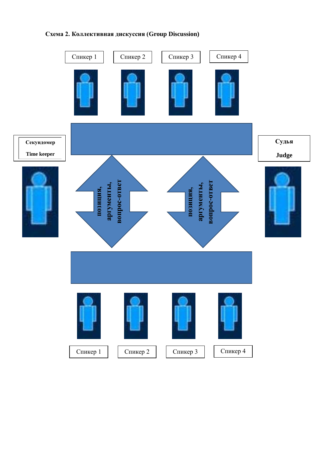# Спикер 1 | Спикер 2 | | Спикер 3 | | Спикер 4 **Судья Секундомер Time keeper Judgeвопрос-ответ аргументы,**  вопрос-ответ **аргументы, вопрос-ответ** аргументы, вопрос-ответ аргументы, позиция, **позиция, позиция,**  позиция, Спикер 1 | Спикер 2 | | Спикер 3 | | Спикер 4

### **Схема 2. Коллективная дискуссия (Group Discussion)**